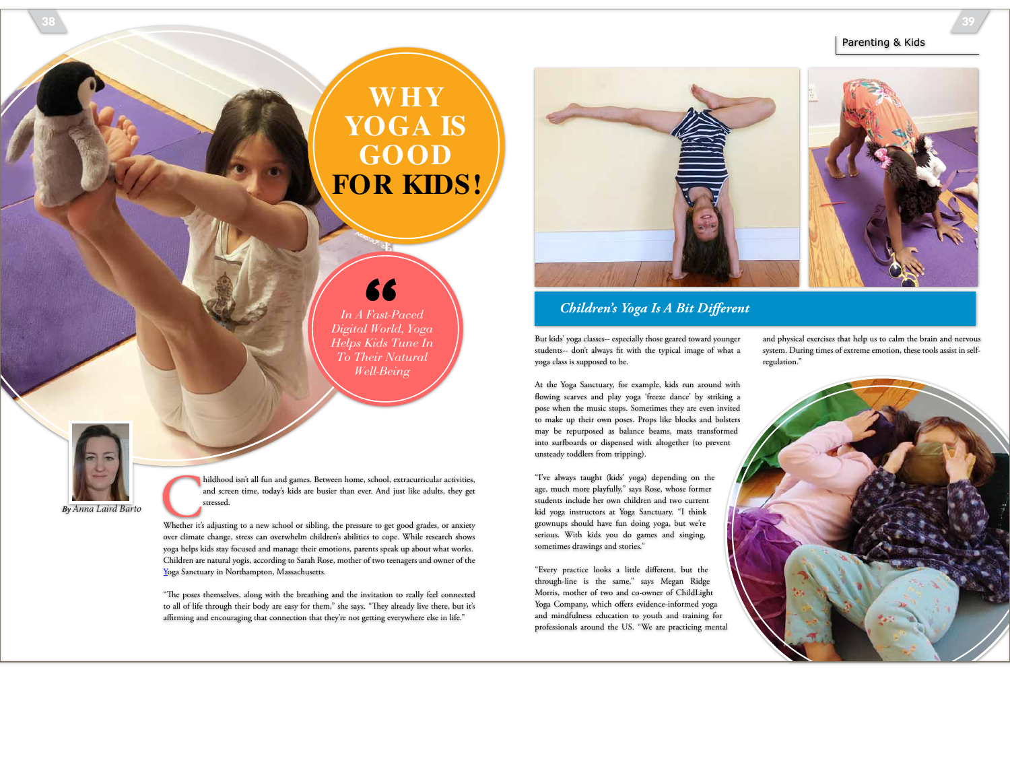## **WHY YOGA IS GOOD FOR KIDS!**

*In A Fast-Paced Digital World, Yoga*  "

*Helps Kids Tune In To Their Natural Well-Being*



### *Children's Yoga Is A Bit Diferent*

But kids' yoga classes-- especially those geared toward younger students-- don't always ft with the typical image of what a yoga class is supposed to be.

and physical exercises that help us to calm the brain and nervous system. During times of extreme emotion, these tools assist in selfregulation."



"I've always taught (kids' yoga) depending on the age, much more playfully," says Rose, whose former students include her own children and two current kid yoga instructors at Yoga Sanctuary. "I think grownups should have fun doing yoga, but we're serious. With kids you do games and singing, sometimes drawings and stories."

"Every practice looks a little diferent, but the through-line is the same," says Megan Ridge Morris, mother of two and co-owner of ChildLight Yoga Company, which offers evidence-informed yoga and mindfulness education to youth and training for professionals around the US. "We are practicing mental





**By Anna Laird Barto** Childhood isn't all fun and games. Between home, school, extracurricular activities, and screen time, today's kids are busier than ever. And just like adults, they get stressed.<br>Whether it's adjusting and screen time, today's kids are busier than ever. And just like adults, they get stressed.

over climate change, stress can overwhelm children's abilities to cope. While research shows yoga helps kids stay focused and manage their emotions, parents speak up about what works. Children are natural yogis, according to Sarah Rose, mother of two teenagers and owner of the Yoga Sanctuary in Northampton, Massachusetts.

"The poses themselves, along with the breathing and the invitation to really feel connected to all of life through their body are easy for them," she says. "They already live there, but it's affirming and encouraging that connection that they're not getting everywhere else in life."